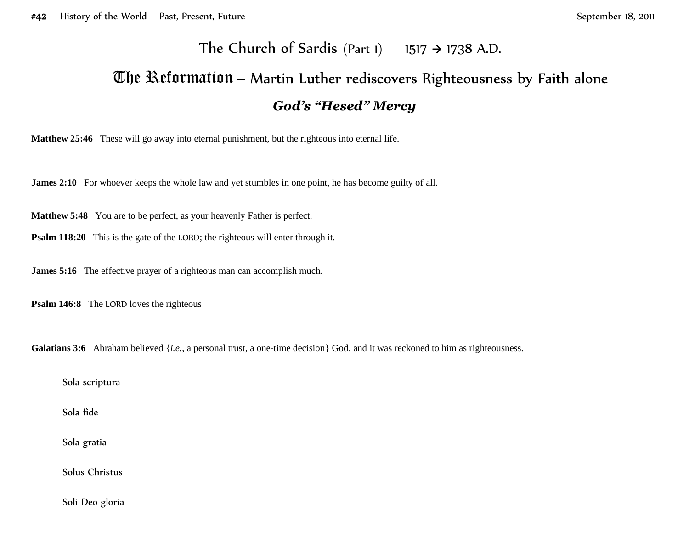## The Church of Sardis (Part 1) 1517  $\rightarrow$  1738 A.D.

## The Reformation – Martin Luther rediscovers Righteousness by Faith alone *God's "Hesed" Mercy*

**Matthew 25:46** These will go away into eternal punishment, but the righteous into eternal life.

**James 2:10** For whoever keeps the whole law and yet stumbles in one point, he has become guilty of all.

**Matthew 5:48** You are to be perfect, as your heavenly Father is perfect.

**Psalm 118:20** This is the gate of the LORD; the righteous will enter through it.

**James 5:16** The effective prayer of a righteous man can accomplish much.

**Psalm 146:8** The LORD loves the righteous

Galatians 3:6 Abraham believed {*i.e.*, a personal trust, a one-time decision} God, and it was reckoned to him as righteousness.

Sola scriptura

Sola fide

Sola gratia

Solus Christus

Soli Deo gloria